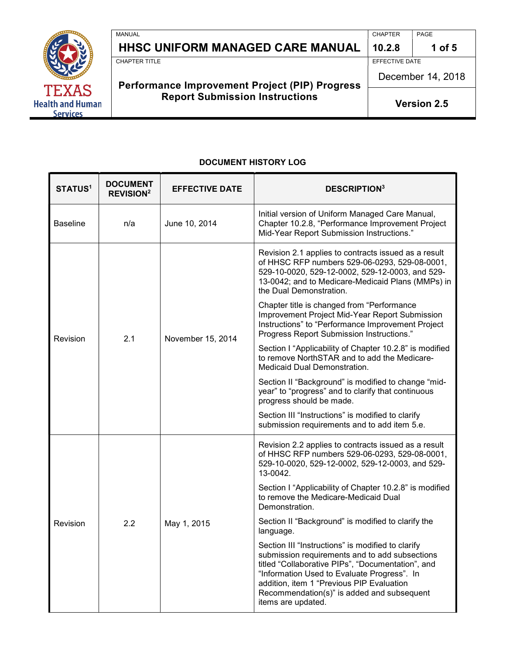

# HHSC UNIFORM MANAGED CARE MANUAL  $\vert$  10.2.8  $\vert$  1 of 5

MANUAL CHAPTER PAGE

EFFECTIVE DATE

**CHAPTER TITLE** 

# Performance Improvement Project (PIP) Progress Report Submission Instructions

December 14, 2018

Version 2.5

#### DOCUMENT HISTORY LOG

| STATUS <sup>1</sup> | <b>DOCUMENT</b><br><b>REVISION<sup>2</sup></b> | <b>EFFECTIVE DATE</b> | <b>DESCRIPTION3</b>                                                                                                                                                                                                                                                                                                      |
|---------------------|------------------------------------------------|-----------------------|--------------------------------------------------------------------------------------------------------------------------------------------------------------------------------------------------------------------------------------------------------------------------------------------------------------------------|
| <b>Baseline</b>     | n/a                                            | June 10, 2014         | Initial version of Uniform Managed Care Manual,<br>Chapter 10.2.8, "Performance Improvement Project<br>Mid-Year Report Submission Instructions."                                                                                                                                                                         |
| Revision            | 2.1                                            | November 15, 2014     | Revision 2.1 applies to contracts issued as a result<br>of HHSC RFP numbers 529-06-0293, 529-08-0001,<br>529-10-0020, 529-12-0002, 529-12-0003, and 529-<br>13-0042; and to Medicare-Medicaid Plans (MMPs) in<br>the Dual Demonstration.                                                                                 |
|                     |                                                |                       | Chapter title is changed from "Performance<br>Improvement Project Mid-Year Report Submission<br>Instructions" to "Performance Improvement Project<br>Progress Report Submission Instructions."                                                                                                                           |
|                     |                                                |                       | Section I "Applicability of Chapter 10.2.8" is modified<br>to remove NorthSTAR and to add the Medicare-<br>Medicaid Dual Demonstration.                                                                                                                                                                                  |
|                     |                                                |                       | Section II "Background" is modified to change "mid-<br>year" to "progress" and to clarify that continuous<br>progress should be made.                                                                                                                                                                                    |
|                     |                                                |                       | Section III "Instructions" is modified to clarify<br>submission requirements and to add item 5.e.                                                                                                                                                                                                                        |
| Revision            | 2.2                                            | May 1, 2015           | Revision 2.2 applies to contracts issued as a result<br>of HHSC RFP numbers 529-06-0293, 529-08-0001,<br>529-10-0020, 529-12-0002, 529-12-0003, and 529-<br>13-0042.                                                                                                                                                     |
|                     |                                                |                       | Section I "Applicability of Chapter 10.2.8" is modified<br>to remove the Medicare-Medicaid Dual<br>Demonstration.                                                                                                                                                                                                        |
|                     |                                                |                       | Section II "Background" is modified to clarify the<br>language.                                                                                                                                                                                                                                                          |
|                     |                                                |                       | Section III "Instructions" is modified to clarify<br>submission requirements and to add subsections<br>titled "Collaborative PIPs", "Documentation", and<br>"Information Used to Evaluate Progress". In<br>addition, item 1 "Previous PIP Evaluation<br>Recommendation(s)" is added and subsequent<br>items are updated. |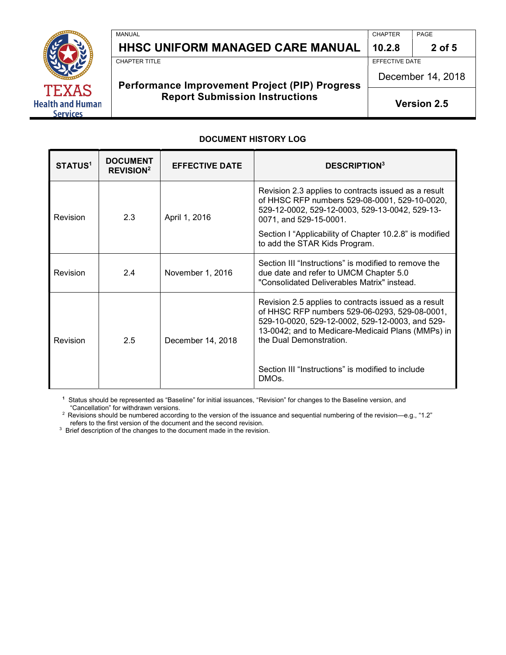

# HHSC UNIFORM MANAGED CARE MANUAL  $\vert$  10.2.8  $\vert$  2 of 5

MANUAL PAGE PROPER PROPER PROPER PROPER PROPER PROPER PROPERTY IN A MANUAL PROPERTY OF PAGE.

EFFECTIVE DATE

**CHAPTER TITLE** 

# Performance Improvement Project (PIP) Progress Report Submission Instructions

December 14, 2018

Version 2.5

#### DOCUMENT HISTORY LOG

| <b>STATUS1</b> | <b>DOCUMENT</b><br><b>REVISION<sup>2</sup></b> | <b>EFFECTIVE DATE</b> | <b>DESCRIPTION3</b>                                                                                                                                                                                                                                                                           |
|----------------|------------------------------------------------|-----------------------|-----------------------------------------------------------------------------------------------------------------------------------------------------------------------------------------------------------------------------------------------------------------------------------------------|
| Revision       | 2.3                                            | April 1, 2016         | Revision 2.3 applies to contracts issued as a result<br>of HHSC RFP numbers 529-08-0001, 529-10-0020,<br>529-12-0002, 529-12-0003, 529-13-0042, 529-13-<br>0071, and 529-15-0001.<br>Section I "Applicability of Chapter 10.2.8" is modified                                                  |
|                |                                                |                       | to add the STAR Kids Program.                                                                                                                                                                                                                                                                 |
| Revision       | 2.4                                            | November 1, 2016      | Section III "Instructions" is modified to remove the<br>due date and refer to UMCM Chapter 5.0<br>"Consolidated Deliverables Matrix" instead.                                                                                                                                                 |
| Revision       | 2.5                                            | December 14, 2018     | Revision 2.5 applies to contracts issued as a result<br>of HHSC RFP numbers 529-06-0293, 529-08-0001,<br>529-10-0020, 529-12-0002, 529-12-0003, and 529-<br>13-0042; and to Medicare-Medicaid Plans (MMPs) in<br>the Dual Demonstration.<br>Section III "Instructions" is modified to include |
|                |                                                |                       | DMO <sub>s</sub> .                                                                                                                                                                                                                                                                            |

 <sup>1</sup> Status should be represented as "Baseline" for initial issuances, "Revision" for changes to the Baseline version, and "Cancellation" for withdrawn versions.

 $^2$  Revisions should be numbered according to the version of the issuance and sequential numbering of the revision—e.g., "1.2" refers to the first version of the document and the second revision.

 $3$  Brief description of the changes to the document made in the revision.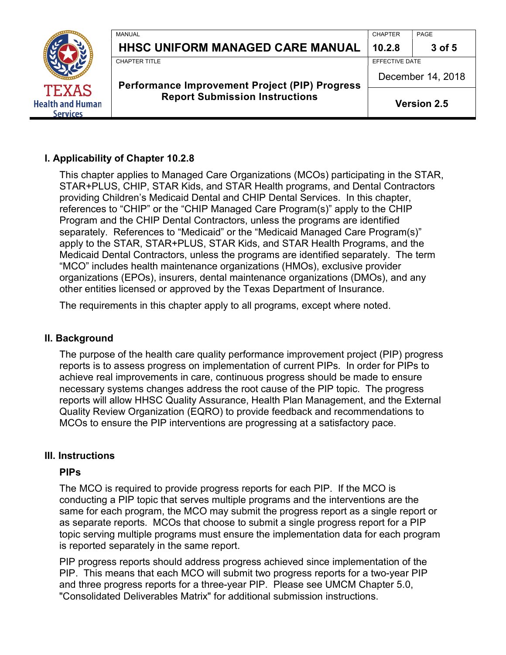

#### I. Applicability of Chapter 10.2.8

 This chapter applies to Managed Care Organizations (MCOs) participating in the STAR, STAR+PLUS, CHIP, STAR Kids, and STAR Health programs, and Dental Contractors providing Children's Medicaid Dental and CHIP Dental Services. In this chapter, references to "CHIP" or the "CHIP Managed Care Program(s)" apply to the CHIP Program and the CHIP Dental Contractors, unless the programs are identified separately. References to "Medicaid" or the "Medicaid Managed Care Program(s)" apply to the STAR, STAR+PLUS, STAR Kids, and STAR Health Programs, and the Medicaid Dental Contractors, unless the programs are identified separately. The term "MCO" includes health maintenance organizations (HMOs), exclusive provider organizations (EPOs), insurers, dental maintenance organizations (DMOs), and any other entities licensed or approved by the Texas Department of Insurance.

The requirements in this chapter apply to all programs, except where noted.

#### II. Background

 The purpose of the health care quality performance improvement project (PIP) progress reports is to assess progress on implementation of current PIPs. In order for PIPs to achieve real improvements in care, continuous progress should be made to ensure necessary systems changes address the root cause of the PIP topic. The progress reports will allow HHSC Quality Assurance, Health Plan Management, and the External Quality Review Organization (EQRO) to provide feedback and recommendations to MCOs to ensure the PIP interventions are progressing at a satisfactory pace.

#### III. Instructions

#### PIPs

 The MCO is required to provide progress reports for each PIP. If the MCO is conducting a PIP topic that serves multiple programs and the interventions are the same for each program, the MCO may submit the progress report as a single report or as separate reports. MCOs that choose to submit a single progress report for a PIP topic serving multiple programs must ensure the implementation data for each program is reported separately in the same report.

 PIP progress reports should address progress achieved since implementation of the PIP. This means that each MCO will submit two progress reports for a two-year PIP and three progress reports for a three-year PIP. Please see UMCM Chapter 5.0, "Consolidated Deliverables Matrix" for additional submission instructions.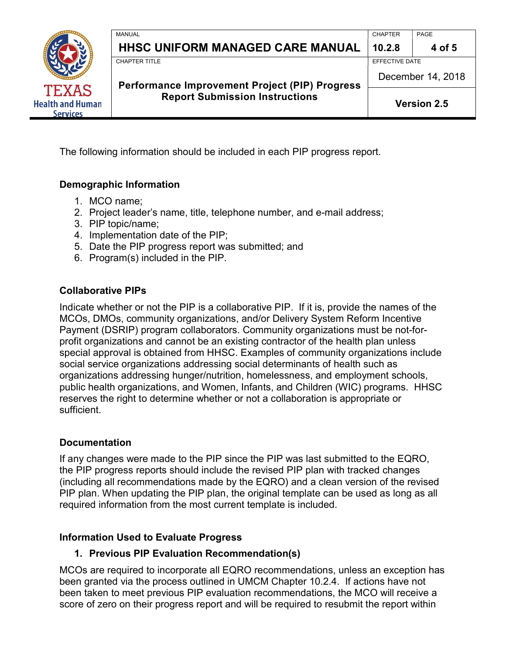

The following information should be included in each PIP progress report.

# Demographic Information

- 1. MCO name;
- 2. Project leader's name, title, telephone number, and e-mail address;
- 3. PIP topic/name;
- 4. Implementation date of the PIP;
- 5. Date the PIP progress report was submitted; and
- 6. Program(s) included in the PIP.

#### Collaborative PIPs

 Indicate whether or not the PIP is a collaborative PIP. If it is, provide the names of the MCOs, DMOs, community organizations, and/or Delivery System Reform Incentive Payment (DSRIP) program collaborators. Community organizations must be not-for- profit organizations and cannot be an existing contractor of the health plan unless special approval is obtained from HHSC. Examples of community organizations include social service organizations addressing social determinants of health such as organizations addressing hunger/nutrition, homelessness, and employment schools, public health organizations, and Women, Infants, and Children (WIC) programs. HHSC reserves the right to determine whether or not a collaboration is appropriate or sufficient.

## Documentation

 If any changes were made to the PIP since the PIP was last submitted to the EQRO, the PIP progress reports should include the revised PIP plan with tracked changes (including all recommendations made by the EQRO) and a clean version of the revised PIP plan. When updating the PIP plan, the original template can be used as long as all required information from the most current template is included.

## Information Used to Evaluate Progress

## 1. Previous PIP Evaluation Recommendation(s)

 MCOs are required to incorporate all EQRO recommendations, unless an exception has been granted via the process outlined in UMCM Chapter 10.2.4. If actions have not been taken to meet previous PIP evaluation recommendations, the MCO will receive a score of zero on their progress report and will be required to resubmit the report within